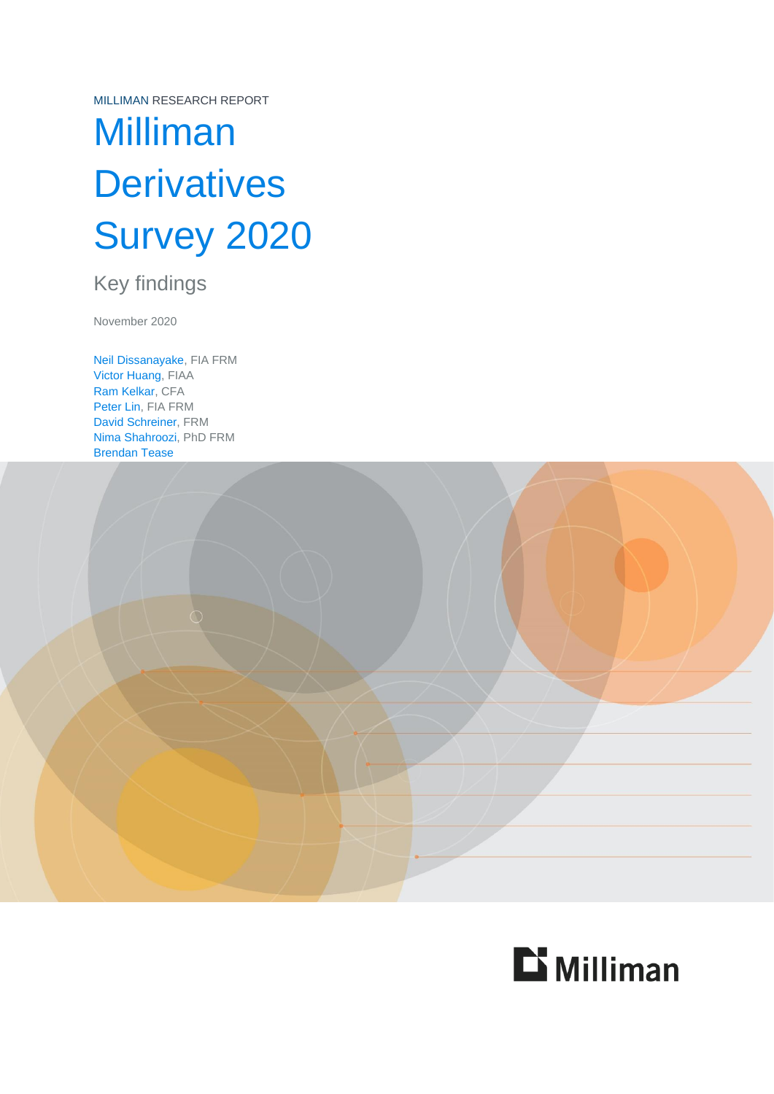MILLIMAN RESEARCH REPORT

# Milliman **Derivatives** Survey 2020

### Key findings

November 2020

Neil Dissanayake, FIA FRM Victor Huang, FIAA Ram Kelkar, CFA Peter Lin, FIA FRM David Schreiner, FRM Nima Shahroozi, PhD FRM Brendan Tease



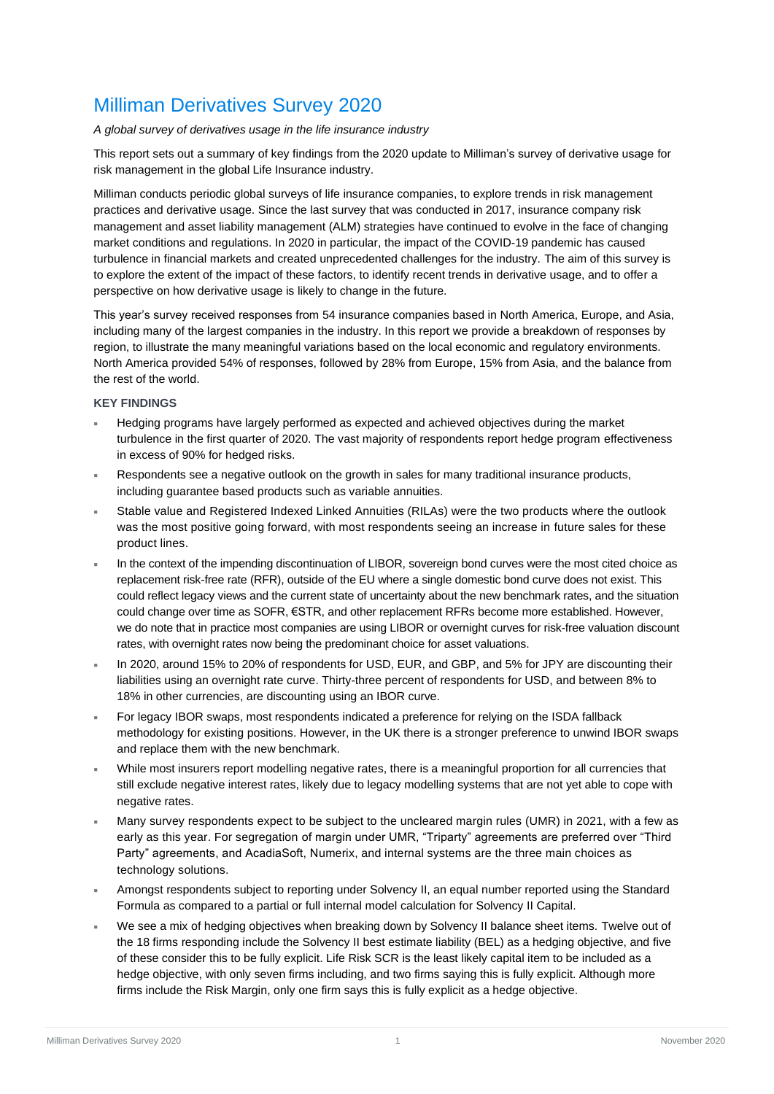### Milliman Derivatives Survey 2020

#### *A global survey of derivatives usage in the life insurance industry*

This report sets out a summary of key findings from the 2020 update to Milliman's survey of derivative usage for risk management in the global Life Insurance industry.

Milliman conducts periodic global surveys of life insurance companies, to explore trends in risk management practices and derivative usage. Since the last survey that was conducted in 2017, insurance company risk management and asset liability management (ALM) strategies have continued to evolve in the face of changing market conditions and regulations. In 2020 in particular, the impact of the COVID-19 pandemic has caused turbulence in financial markets and created unprecedented challenges for the industry. The aim of this survey is to explore the extent of the impact of these factors, to identify recent trends in derivative usage, and to offer a perspective on how derivative usage is likely to change in the future.

This year's survey received responses from 54 insurance companies based in North America, Europe, and Asia, including many of the largest companies in the industry. In this report we provide a breakdown of responses by region, to illustrate the many meaningful variations based on the local economic and regulatory environments. North America provided 54% of responses, followed by 28% from Europe, 15% from Asia, and the balance from the rest of the world.

#### **KEY FINDINGS**

- Hedging programs have largely performed as expected and achieved objectives during the market turbulence in the first quarter of 2020. The vast majority of respondents report hedge program effectiveness in excess of 90% for hedged risks.
- Respondents see a negative outlook on the growth in sales for many traditional insurance products, including guarantee based products such as variable annuities.
- Stable value and Registered Indexed Linked Annuities (RILAs) were the two products where the outlook was the most positive going forward, with most respondents seeing an increase in future sales for these product lines.
- In the context of the impending discontinuation of LIBOR, sovereign bond curves were the most cited choice as replacement risk-free rate (RFR), outside of the EU where a single domestic bond curve does not exist. This could reflect legacy views and the current state of uncertainty about the new benchmark rates, and the situation could change over time as SOFR, €STR, and other replacement RFRs become more established. However, we do note that in practice most companies are using LIBOR or overnight curves for risk-free valuation discount rates, with overnight rates now being the predominant choice for asset valuations.
- In 2020, around 15% to 20% of respondents for USD, EUR, and GBP, and 5% for JPY are discounting their liabilities using an overnight rate curve. Thirty-three percent of respondents for USD, and between 8% to 18% in other currencies, are discounting using an IBOR curve.
- For legacy IBOR swaps, most respondents indicated a preference for relying on the ISDA fallback methodology for existing positions. However, in the UK there is a stronger preference to unwind IBOR swaps and replace them with the new benchmark.
- While most insurers report modelling negative rates, there is a meaningful proportion for all currencies that still exclude negative interest rates, likely due to legacy modelling systems that are not yet able to cope with negative rates.
- Many survey respondents expect to be subject to the uncleared margin rules (UMR) in 2021, with a few as early as this year. For segregation of margin under UMR, "Triparty" agreements are preferred over "Third Party" agreements, and AcadiaSoft, Numerix, and internal systems are the three main choices as technology solutions.
- Amongst respondents subject to reporting under Solvency II, an equal number reported using the Standard Formula as compared to a partial or full internal model calculation for Solvency II Capital.
- We see a mix of hedging objectives when breaking down by Solvency II balance sheet items. Twelve out of the 18 firms responding include the Solvency II best estimate liability (BEL) as a hedging objective, and five of these consider this to be fully explicit. Life Risk SCR is the least likely capital item to be included as a hedge objective, with only seven firms including, and two firms saying this is fully explicit. Although more firms include the Risk Margin, only one firm says this is fully explicit as a hedge objective.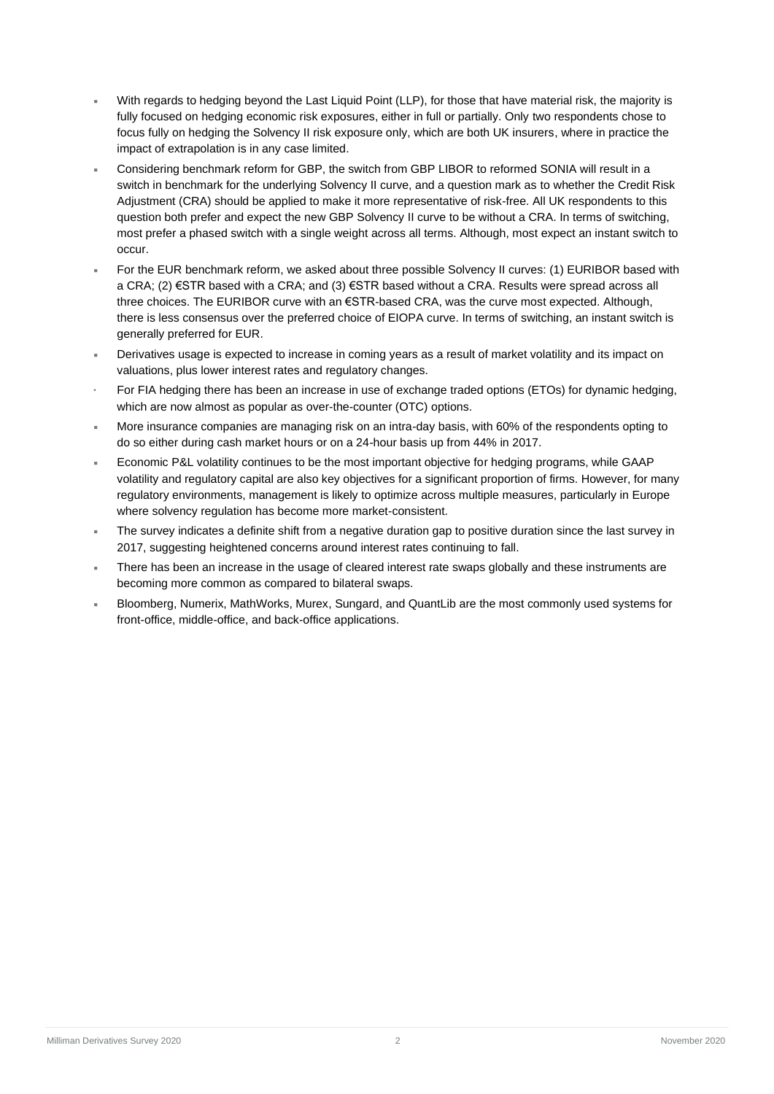- With regards to hedging beyond the Last Liquid Point (LLP), for those that have material risk, the majority is fully focused on hedging economic risk exposures, either in full or partially. Only two respondents chose to focus fully on hedging the Solvency II risk exposure only, which are both UK insurers, where in practice the impact of extrapolation is in any case limited.
- Considering benchmark reform for GBP, the switch from GBP LIBOR to reformed SONIA will result in a switch in benchmark for the underlying Solvency II curve, and a question mark as to whether the Credit Risk Adjustment (CRA) should be applied to make it more representative of risk-free. All UK respondents to this question both prefer and expect the new GBP Solvency II curve to be without a CRA. In terms of switching, most prefer a phased switch with a single weight across all terms. Although, most expect an instant switch to occur.
- For the EUR benchmark reform, we asked about three possible Solvency II curves: (1) EURIBOR based with a CRA; (2) €STR based with a CRA; and (3) €STR based without a CRA. Results were spread across all three choices. The EURIBOR curve with an €STR-based CRA, was the curve most expected. Although, there is less consensus over the preferred choice of EIOPA curve. In terms of switching, an instant switch is generally preferred for EUR.
- Derivatives usage is expected to increase in coming years as a result of market volatility and its impact on valuations, plus lower interest rates and regulatory changes.
- For FIA hedging there has been an increase in use of exchange traded options (ETOs) for dynamic hedging, which are now almost as popular as over-the-counter (OTC) options.
- More insurance companies are managing risk on an intra-day basis, with 60% of the respondents opting to do so either during cash market hours or on a 24-hour basis up from 44% in 2017.
- Economic P&L volatility continues to be the most important objective for hedging programs, while GAAP volatility and regulatory capital are also key objectives for a significant proportion of firms. However, for many regulatory environments, management is likely to optimize across multiple measures, particularly in Europe where solvency regulation has become more market-consistent.
- The survey indicates a definite shift from a negative duration gap to positive duration since the last survey in 2017, suggesting heightened concerns around interest rates continuing to fall.
- There has been an increase in the usage of cleared interest rate swaps globally and these instruments are becoming more common as compared to bilateral swaps.
- Bloomberg, Numerix, MathWorks, Murex, Sungard, and QuantLib are the most commonly used systems for front-office, middle-office, and back-office applications.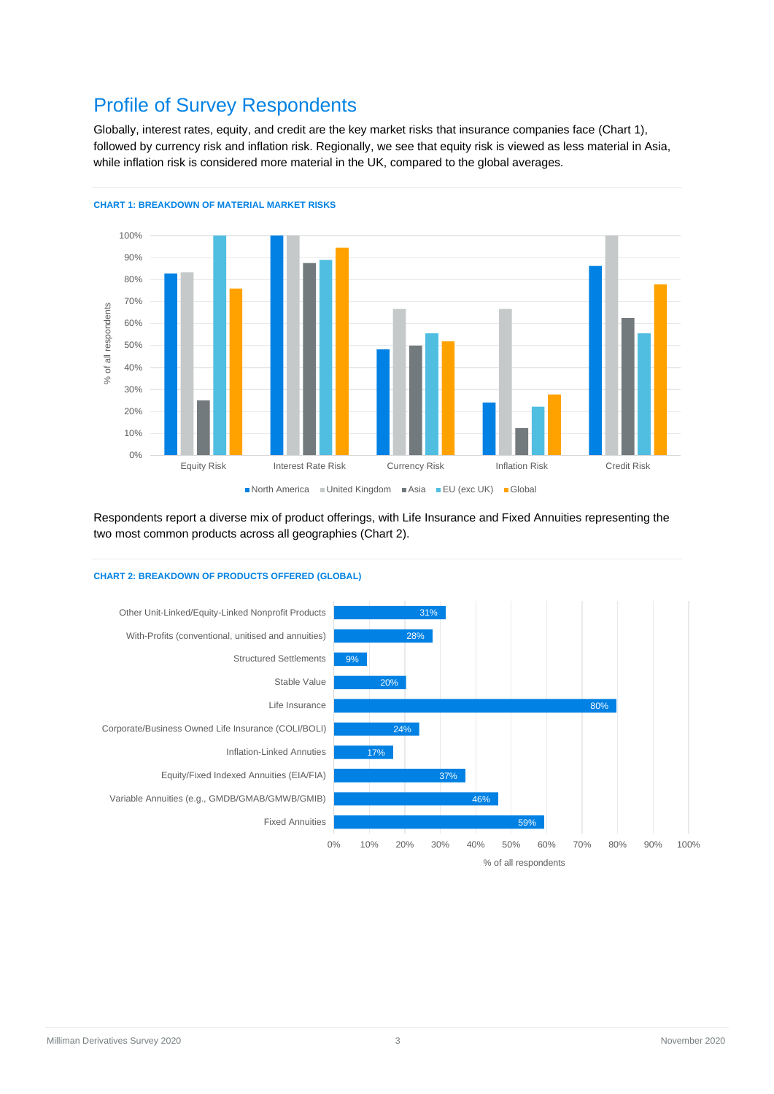### Profile of Survey Respondents

Globally, interest rates, equity, and credit are the key market risks that insurance companies face (Chart 1), followed by currency risk and inflation risk. Regionally, we see that equity risk is viewed as less material in Asia, while inflation risk is considered more material in the UK, compared to the global averages.



**CHART 1: BREAKDOWN OF MATERIAL MARKET RISKS**

Respondents report a diverse mix of product offerings, with Life Insurance and Fixed Annuities representing the two most common products across all geographies (Chart 2).

#### **CHART 2: BREAKDOWN OF PRODUCTS OFFERED (GLOBAL)**

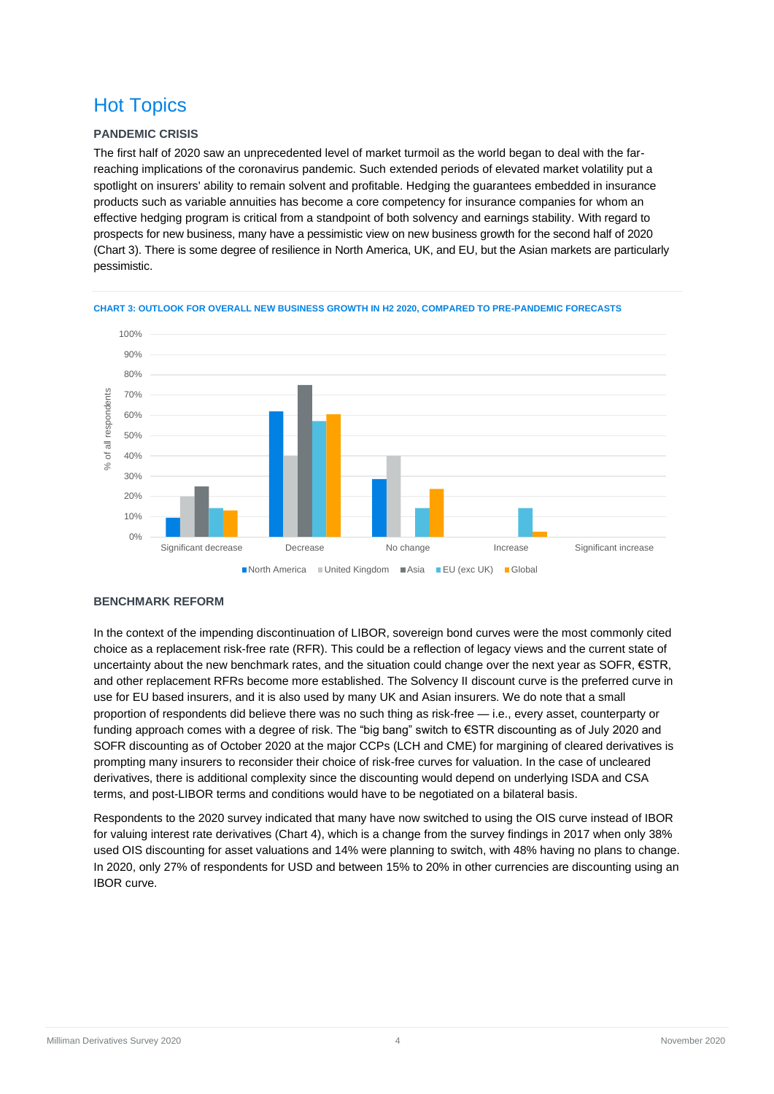### Hot Topics

#### **PANDEMIC CRISIS**

The first half of 2020 saw an unprecedented level of market turmoil as the world began to deal with the farreaching implications of the coronavirus pandemic. Such extended periods of elevated market volatility put a spotlight on insurers' ability to remain solvent and profitable. Hedging the guarantees embedded in insurance products such as variable annuities has become a core competency for insurance companies for whom an effective hedging program is critical from a standpoint of both solvency and earnings stability. With regard to prospects for new business, many have a pessimistic view on new business growth for the second half of 2020 (Chart 3). There is some degree of resilience in North America, UK, and EU, but the Asian markets are particularly pessimistic.



**CHART 3: OUTLOOK FOR OVERALL NEW BUSINESS GROWTH IN H2 2020, COMPARED TO PRE-PANDEMIC FORECASTS**

#### **BENCHMARK REFORM**

In the context of the impending discontinuation of LIBOR, sovereign bond curves were the most commonly cited choice as a replacement risk-free rate (RFR). This could be a reflection of legacy views and the current state of uncertainty about the new benchmark rates, and the situation could change over the next year as SOFR, €STR, and other replacement RFRs become more established. The Solvency II discount curve is the preferred curve in use for EU based insurers, and it is also used by many UK and Asian insurers. We do note that a small proportion of respondents did believe there was no such thing as risk-free — i.e., every asset, counterparty or funding approach comes with a degree of risk. The "big bang" switch to €STR discounting as of July 2020 and SOFR discounting as of October 2020 at the major CCPs (LCH and CME) for margining of cleared derivatives is prompting many insurers to reconsider their choice of risk-free curves for valuation. In the case of uncleared derivatives, there is additional complexity since the discounting would depend on underlying ISDA and CSA terms, and post-LIBOR terms and conditions would have to be negotiated on a bilateral basis.

Respondents to the 2020 survey indicated that many have now switched to using the OIS curve instead of IBOR for valuing interest rate derivatives (Chart 4), which is a change from the survey findings in 2017 when only 38% used OIS discounting for asset valuations and 14% were planning to switch, with 48% having no plans to change. In 2020, only 27% of respondents for USD and between 15% to 20% in other currencies are discounting using an IBOR curve.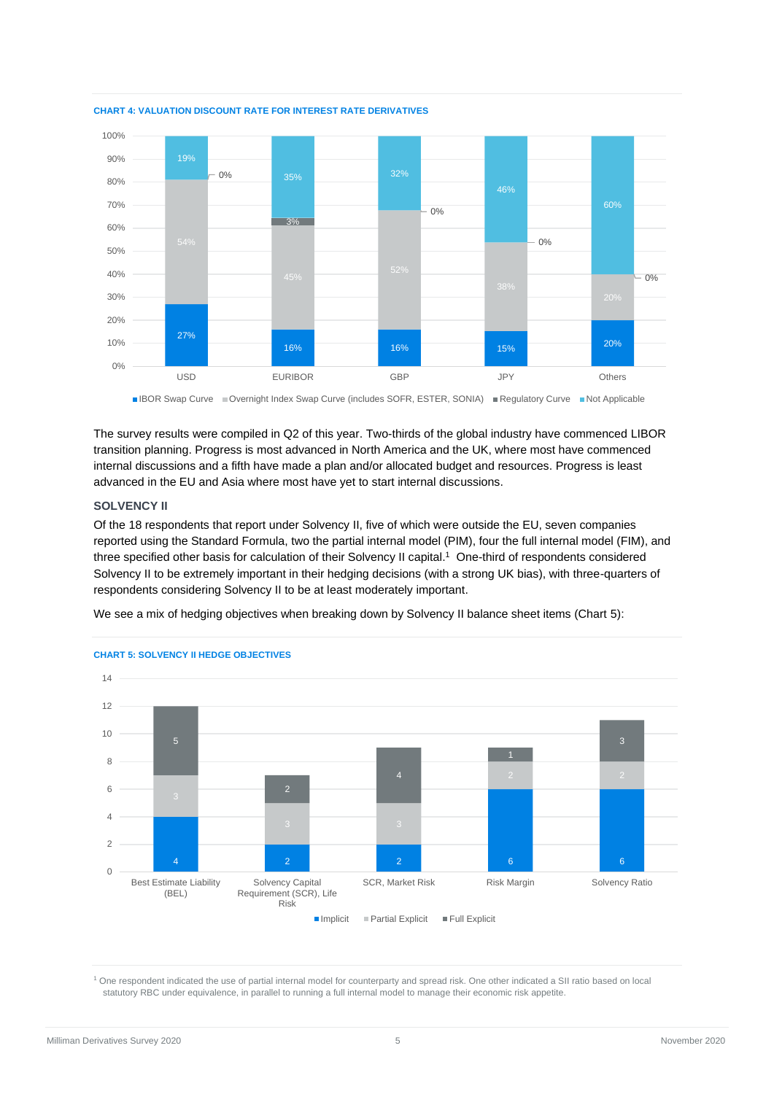

**CHART 4: VALUATION DISCOUNT RATE FOR INTEREST RATE DERIVATIVES**

■IBOR Swap Curve ■Overnight Index Swap Curve (includes SOFR, ESTER, SONIA) ■Regulatory Curve ■Not Applicable

The survey results were compiled in Q2 of this year. Two-thirds of the global industry have commenced LIBOR transition planning. Progress is most advanced in North America and the UK, where most have commenced internal discussions and a fifth have made a plan and/or allocated budget and resources. Progress is least advanced in the EU and Asia where most have yet to start internal discussions.

#### **SOLVENCY II**

Of the 18 respondents that report under Solvency II, five of which were outside the EU, seven companies reported using the Standard Formula, two the partial internal model (PIM), four the full internal model (FIM), and three specified other basis for calculation of their Solvency II capital. 1 One-third of respondents considered Solvency II to be extremely important in their hedging decisions (with a strong UK bias), with three-quarters of respondents considering Solvency II to be at least moderately important.

We see a mix of hedging objectives when breaking down by Solvency II balance sheet items (Chart 5):



#### **CHART 5: SOLVENCY II HEDGE OBJECTIVES**

<sup>1</sup> One respondent indicated the use of partial internal model for counterparty and spread risk. One other indicated a SII ratio based on local statutory RBC under equivalence, in parallel to running a full internal model to manage their economic risk appetite.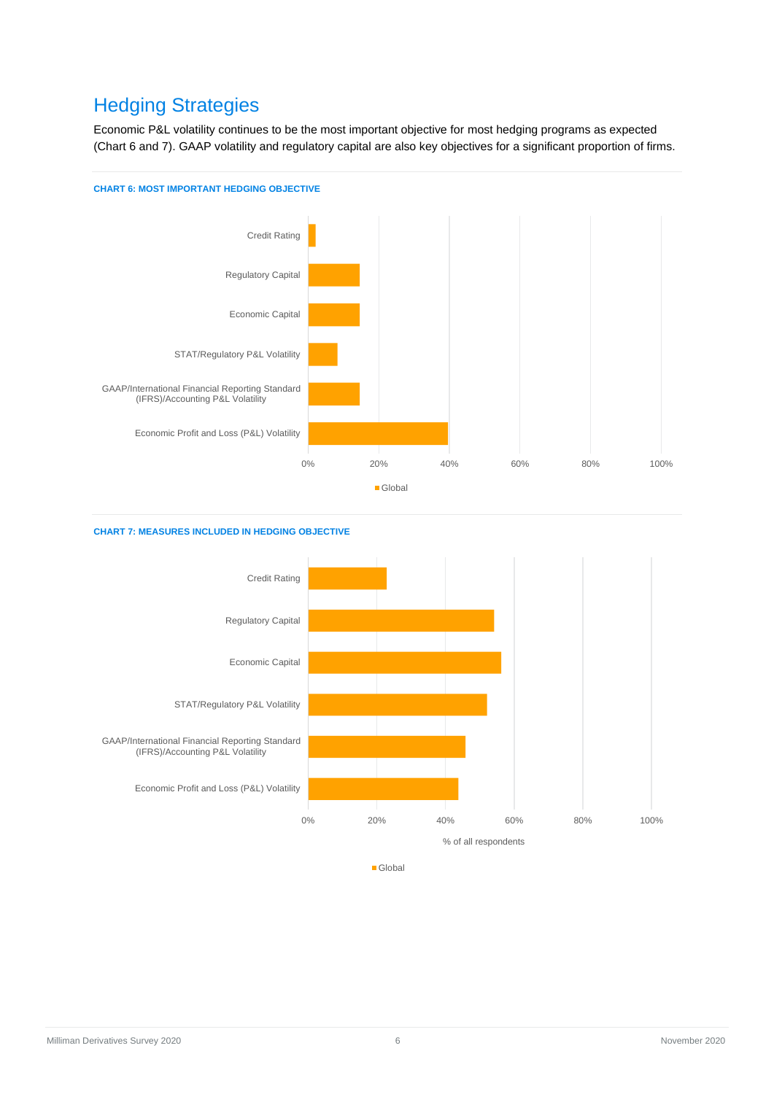### Hedging Strategies

Economic P&L volatility continues to be the most important objective for most hedging programs as expected (Chart 6 and 7). GAAP volatility and regulatory capital are also key objectives for a significant proportion of firms.



#### **CHART 7: MEASURES INCLUDED IN HEDGING OBJECTIVE**



Milliman Derivatives Survey 2020 **6** November 2020 **6** November 2020 **November 2020**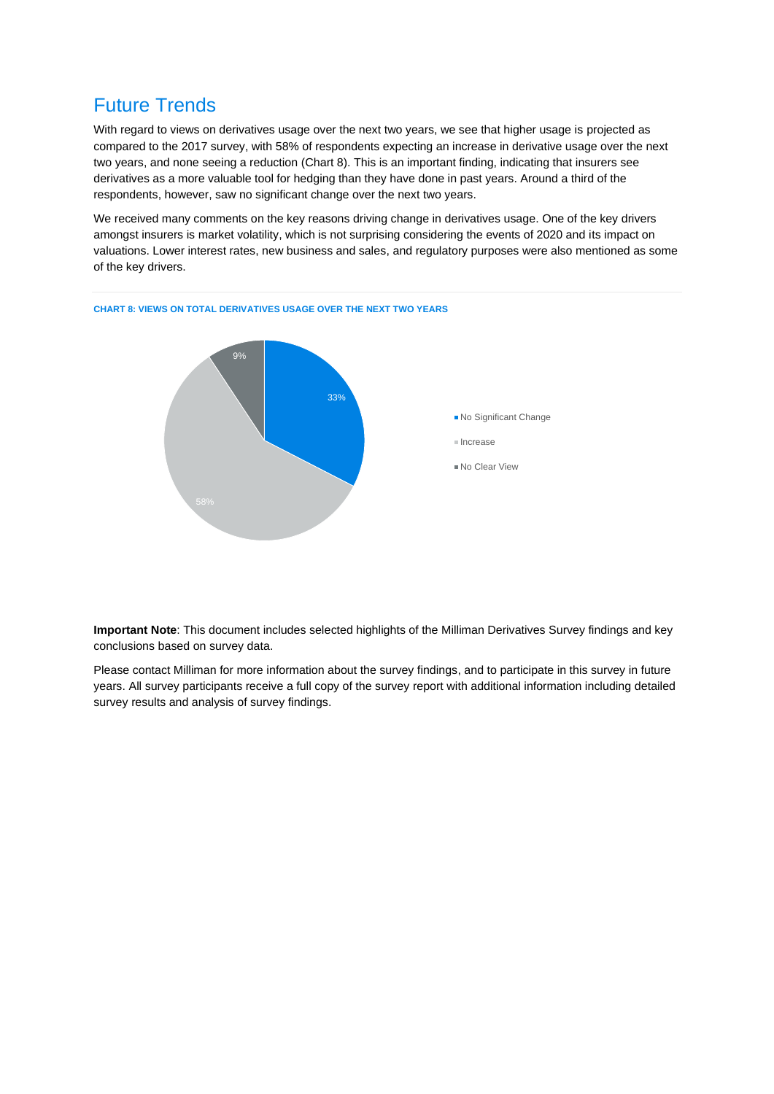### Future Trends

With regard to views on derivatives usage over the next two years, we see that higher usage is projected as compared to the 2017 survey, with 58% of respondents expecting an increase in derivative usage over the next two years, and none seeing a reduction (Chart 8). This is an important finding, indicating that insurers see derivatives as a more valuable tool for hedging than they have done in past years. Around a third of the respondents, however, saw no significant change over the next two years.

We received many comments on the key reasons driving change in derivatives usage. One of the key drivers amongst insurers is market volatility, which is not surprising considering the events of 2020 and its impact on valuations. Lower interest rates, new business and sales, and regulatory purposes were also mentioned as some of the key drivers.



**Important Note**: This document includes selected highlights of the Milliman Derivatives Survey findings and key conclusions based on survey data.

Please contact Milliman for more information about the survey findings, and to participate in this survey in future years. All survey participants receive a full copy of the survey report with additional information including detailed survey results and analysis of survey findings.